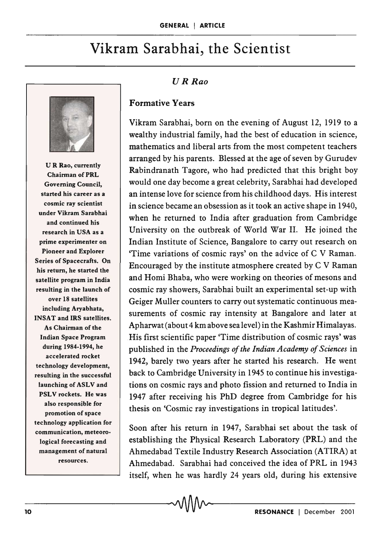# Vikram Sarabhai, the Scientist

## *URRao*

#### Formative Years

Vikram Sarabhai, born on the evening of August 12, 1919 to a wealthy industrial family, had the best of education in science, mathematics and liberal arts from the most competent teachers arranged by his parents. Blessed at the age of seven by Gurudev Rabindranath Tagore, who had predicted that this bright boy would one day become a great celebrity, Sarabhai had developed an intense love for science from his childhood days. His interest in science became an obsession as it took an active shape in 1940, when he returned to India after graduation from Cambridge University on the outbreak of World War II. He joined the Indian Institute of Science, Bangalore to carry out research on 'Time variations of cosmic rays' on the advice of C V Raman. Encouraged by the institute atmosphere created by C V Raman and Homi Bhaba, who were working on theories of mesons and cosmic ray showers, Sarabhai built an experimental set-up with Geiger Muller counters' to carry out systematic continuous measurements of cosmic ray intensity at Bangalore and later at Apharwat (about 4 km above sea level) in the Kashmir Himalayas. His first scientific paper 'Time distribution of cosmic rays' was published in the *Proceedings of the Indian Academy of Sciences* in 1942, barely two years after he started his research. He went back to Cambridge University in 1945 to continue his investigations on cosmic rays and photo fission and returned to India in 1947 after receiving his PhD degree from Cambridge for his thesis on 'Cosmic ray investigations in tropical latitudes'.

Soon after his return in 1947, Sarabhai set about the task of establishing the Physical Research Laboratory (PRL) and the Ahmedabad Textile Industry Research Association (ATIRA) at Ahmedabad. Sarabhai had conceived the idea of PRL in 1943 itself, when he was hardly 24 years old, during his extensive



U R Rao, currently Chairman of PRL Governing Council, started his career as a cosmic ray scientist under Vikram Sarabhai and continued his research in USA as a prime experimenter on Pioneer and Explorer Series of Spacecrafts. On his return, he started the satellite program in India resulting in the launch of over 18 satellites including Aryabhata, INSAT and IRS satellites. As Chairman of the Indian Space Program during 1984-1994, he accelerated rocket technology development, resulting in the successful launching of ASLV and PSLV rockets. He was also responsible for promotion of space technology application for communication, meteorological forecasting and management of natural resources.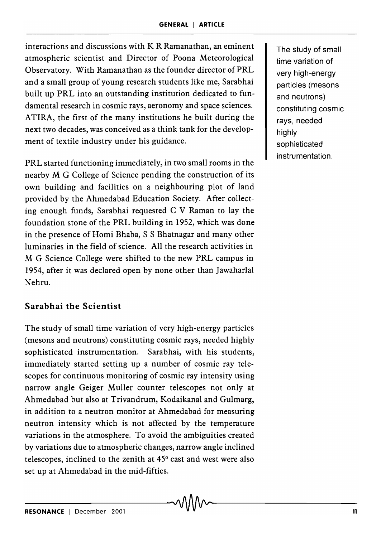interactions and discussions with K R Ramanathan, an eminent atmospheric scientist and Director of Poona Meteorological Observatory. With Ramanathan as the founder director of PRL and a small group of young research students like me, Sarabhai built up PRL into an outstanding institution dedicated to fundamental research in cosmic rays, aeronomy and space sciences. ATIRA, the first of the many institutions he built during the next two decades, was conceived as a think tank for the development of textile industry under his guidance.

PRL started functioning immediately, in two small rooms in the nearby M G College of Science pending the construction of its own building and facilities on a neighbouring plot of land provided by the Ahmedabad Education Society. After collecting enough funds, Sarabhai requested C V Raman to lay the foundation stone of the PRL building in 1952, which was done in the presence of Homi Bhaba, S S Bhatnagar and many other luminaries in the field of science. All the research activities in M G Science College were shifted to the new PRL campus in 1954, after it was declared open by none other than Jawaharlal Nehru.

## **Sarabhai the Scientist**

The study of small time variation of very high-energy particles (mesons and neutrons) constituting cosmic rays, needed highly sophisticated instrumentation. Sarabhai, with his students, immediately started setting up a number of cosmic ray telescopes for continuous monitoring of cosmic ray intensity using narrow angle Geiger Muller counter telescopes not only at Ahmedabad but also at Trivandrum, Kodaikanal and Gulmarg, in addition to a neutron monitor at Ahmedabad for measuring neutron intensity which is not affected by the temperature variations in the atmosphere. To avoid the ambiguities created by variations due to atmospheric changes, narrow angle inclined telescopes, inclined to the zenith at 45° east and west were also set up at Ahmedabad in the mid-fifties.

The study of small time variation of very high-energy particles (mesons and neutrons) constituting cosmic rays, needed highly sophisticated instrumentation.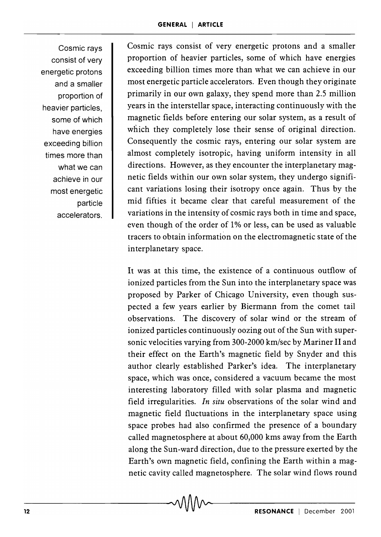Cosmic rays consist of very energetic protons and a smaller proportion of heavier particles, some of which have energies exceeding billion times more than what we can achieve in our most energetic particle accelerators.

Cosmic rays consist of very energetic protons and a smaller proportion of heavier particles, some of which have energies exceeding billion times more than what we can achieve in our most energetic particle accelerators. Even though they originate primarily in our own galaxy, they spend more than 2.5 million years in the interstellar space, interacting continuously with the magnetic fields before entering our solar system, as a result of which they completely lose their sense of original direction. Consequently the cosmic rays, entering our solar system are almost completely isotropic, having uniform intensity in all directions. However, as they encounter the interplanetary magnetic fields within our own solar system, they undergo significant variations losing their isotropy once again. Thus by the mid fifties it became clear that careful measurement of the variations in the intensity of cosmic rays both in time and space, even though of the order of 1% or less, can be used as valuable tracers to obtain information on the electromagnetic state of the interplanetary space.

It was at this time, the existence of a continuous outflow of ionized particles from the Sun into the interplanetary space was proposed by Parker of Chicago University, even though suspected a few years earlier by Biermann from the comet tail observations. The discovery of solar wind or the stream of ionized particles continuously oozing out of the Sun with supersonic velocities varying from 300-2000 km/sec by Mariner II and their effect on the Earth's magnetic field by Snyder and this author clearly established Parker's idea. The interplanetary space, which was once, considered a vacuum became the most interesting laboratory filled with solar plasma and magnetic field irregularities. *In situ* observations of the solar wind and magnetic field fluctuations in the interplanetary space using space probes had also confirmed the presence of a boundary called magnetosphere at about 60,000 kms away from the Earth along the Sun-ward direction, due to the pressure exerted by the Earth's own magnetic field, confining the Earth within a magnetic cavity called magnetosphere. The solar wind flows round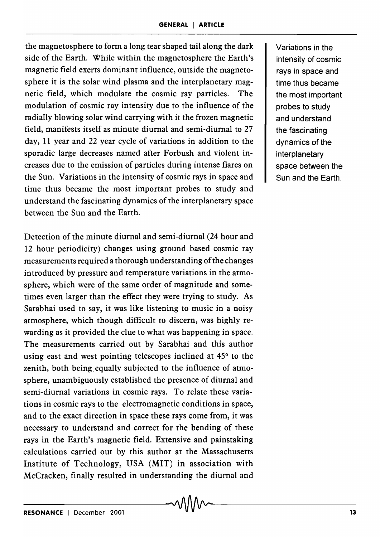the magnetosphere to form a long tear shaped tail along the dark side of the Earth. While within the magnetosphere the Earth's magnetic field exerts dominant influence, outside the magnetosphere it is the solar wind plasma and the interplanetary magnetic field, which modulate the cosmic ray particles. The modulation of cosmic ray intensity due to the influence of the radially blowing solar wind carrying with it the frozen magnetic field, manifests itself as minute diurnal and semi-diurnal to 27 day, 11 year and 22 year cycle of variations in addition to the sporadic large decreases named after Forbush and violent increases due to the emission of particles during intense flares on the Sun. Variations in the intensity of cosmic rays in space and time thus became the most important probes to study and understand the fascinating dynamics of the interplanetary space between the Sun and the Earth.

Detection of the minute diurnal and semi-diurnal (24 hour and 12 hour periodicity) changes using ground based cosmic ray measurements required a thorough understanding of the changes introduced by pressure and temperature variations in the atmosphere, which were of the same order of magnitude and sometimes even larger than the effect they were trying to study. As Sarabhai used to say, it was like listening to music in a noisy atmosphere, which though difficult to discern, was highly rewarding as it provided the clue to what was happening in space. The measurements carried out by Sarabhai and this author using east and west pointing telescopes inclined at 45° to the zenith, both being. equally subjected to the influence of atmosphere, unambiguously established the presence of diurnal and semi-diurnal variations in cosmic rays. To relate these variations in cosmic rays to the electromagnetic conditions in space, and to the exact direction in space these rays come from, it was necessary to understand and correct for the bending of these rays in the Earth's magnetic field. Extensive and painstaking calculations carried out by this author at the Massachusetts Institute of Technology, USA (MIT) in association with McCracken, finally resulted in understanding the diurnal and

Variations in the intensity of cosmic rays in space and time thus became the most important probes to study and understand the fascinating dynamics of the interplanetary space between the Sun and the Earth.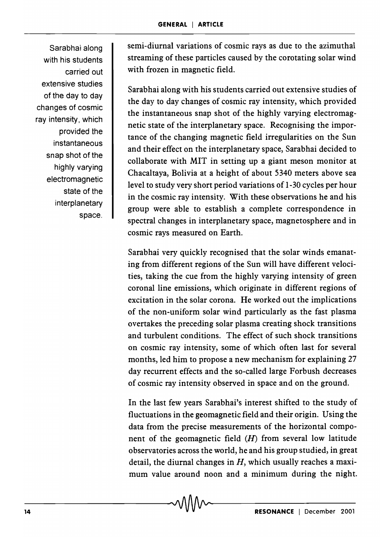Sarabhai along with his students carried out extensive studies of the day to day changes of cosmic ray intensity, which provided the instantaneous snap shot of the highly varying electromagnetic state of the interplanetary space.

semi-diurnal variations of cosmic rays as due to the azimuthal streaming of these particles caused by the corotating solar wind with frozen in magnetic field.

Sarabhai along with his students carried out extensive studies of the day to day changes of cosmic ray intensity, which provided the instantaneous snap shot of the highly varying electromagnetic state of the interplanetary space. Recognising the importance of the changing magnetic field irregularities on the Sun and their effect on the interplanetary space, Sarabhai decided to collaborate with MIT in setting up a giant meson monitor at Chacaltaya, Bolivia at a height of about 5340 meters above sea level to study very short period variations of 1-30 cycles per hour in the cosmic ray intensity. With these observations he and his group were able to establish a complete correspondence in spectral changes in interplanetary space, magnetosphere and in cosmic rays measured on Earth.

Sarabhai very quickly recognised that the solar winds emanating from different regions of the Sun will have different velocities, taking the cue from the highly varying intensity of green coronal line emissions, which originate in different regions of excitation in the solar corona. He worked out the implications of the non-uniform solar wind particularly as the fast plasma overtakes the preceding solar plasma creating shock transitions and turbulent conditions. The effect of such shock transitions on cosmic ray intensity, some of which often last for several months, led him to propose a new mechanism for explaining 27 day recurrent effects and the so-called large Forbush decreases of cosmic ray intensity observed in space and on the ground.

In the last few years Sarabhai's interest shifted to the study of fluctuations in the geomagnetic field and their origin. Using the data from the precise measurements of the horizontal component of the geomagnetic field  $(H)$  from several low latitude observatories across the world, he and his group studied, in great detail, the diurnal changes in  $H$ , which usually reaches a maximum value around noon and a minimum during the night.  $mum$  value around noon and a minimum during the night<br>mum value around noon and a minimum during the night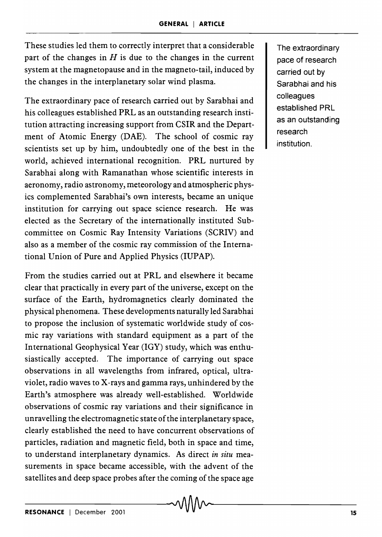These studies led them to correctly interpret that a considerable part of the changes in  $H$  is due to the changes in the current system at the magnetopause and in the magneto-tail, induced by the changes in the interplanetary solar wind plasma.

The extraordinary pace of research carried out by Sarabhai and his colleagues established PRL as an outstanding research institution attracting increasing support from CSIR and the Department of Atomic Energy (DAE). The school of cosmic ray scientists set up by him, undoubtedly one of the best in the world, achieved international recognition. PRL nurtured by Sarabhai along with Ramanathan whose scientific interests in aeronomy, radio astronomy, meteorology and atmospheric physics complemented Sarabhai's own interests, became an unique institution for carrying out space science research. He was elected as the Secretary of the internationally instituted Subcommittee on Cosmic Ray Intensity Variations (SCRIV) and also as a member of the cosmic ray commission of the International Union of Pure and Applied Physics (IUPAP).

From the studies carried out at PRL and elsewhere it became clear that practically in every part of the universe, except on the surface of the Earth, hydromagnetics clearly dominated the physical phenomena. These developments naturally led Sarabhai to propose the inclusion of systematic worldwide study of cosmic ray variations with standard equipment as a part of the International Geophysical Year (IGY) study, which was enthusiastically accepted. The importance of carrying out space observations in all wavelengths from infrared, optical, ultraviolet, radio waves to X-rays and gamma rays, unhindered by the Earth's atmosphere was already well-established. Worldwide observations of cosmic ray variations and their significance in unravelling the electromagnetic state of the interplanetary space, clearly established the need to have concurrent observations of particles, radiation and magnetic field, both in space and time, to understand interplanetary dynamics. As direct *in situ* measurements in space became accessible, with the advent of the satellites and deep space probes after the coming of the space age The extraordinary pace of research carried out by Sarabhai and his colleagues established PRL as an outstanding research institution.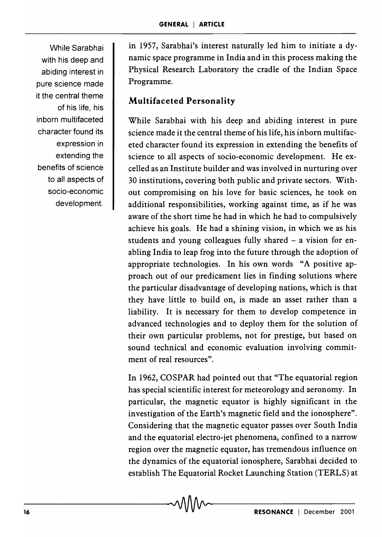While Sarabhai with his deep and abiding interest in pure science made it the central theme of his life, his inborn multifaceted character found its expression in extending the benefits of science to all aspects of socio-economic development.

in 1957, Sarabhai's interest naturally led him to initiate a dynamic space programme in India and in this process making the Physical Research Laboratory the cradle of the Indian Space Programme.

## **Multifaceted Personality**

While Sarabhai with his deep and abiding interest in pure science made it the central theme of his life, his inborn multifaceted character found its expression in extending the benefits of science to all aspects of socio-economic development. He excelled as an Institute builder and was involved in nurturing over 30 institutions, covering both public and private sectors. Without compromising on his love for basic sciences, he took on additional responsibilities, working against time, as if he was aware of the short time he had in which he had to compulsively achieve his goals. He had a shining vision, in which we as his students and young colleagues fully shared  $-$  a vision for enabling India to leap frog into the future through the adoption of appropriate technologies. In his own words "A positive approach out of our predicament lies in finding solutions where the particular disadvantage of developing nations, which is that they have little to build on, is made an asset rather than a liability. It is necessary for them to develop competence in advanced technologies and to deploy them for the solution of their own particular problems, not for prestige, but based on sound technical and economic evaluation involving commitment of real resources".

In 1962, COSPAR had pointed out that "The equatorial region has special scientific interest for meteorology and aeronomy. In particular, the magnetic equator is highly significant in the investigation of the Earth's magnetic field and the ionosphere". Considering that the magnetic equator passes over South India and the equatorial electro-jet phenomena, confined to a narrow region over the magnetic equator, has tremendous influence on the dynamics of the equatorial ionosphere, Sarabhai decided to establish The Equatorial Rocket Launching Station (TERLS) at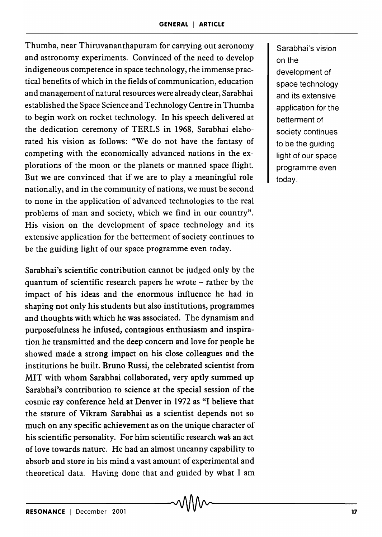Thumba, near Thiruvananthapuram for carrying out aeronomy and astronomy experiments. Convinced of the need to develop in digeneous competence in space technology, the immense practical benefits of which in the fields of communication, education and management of natural resources were already clear, Sarabhai established the Space Science and Technology Centre in Thumba to begin work on rocket technology. In his speech delivered at the dedication ceremony of TERLS in 1968, Sarabhai elaborated his vision as follows: "We do not have the fantasy of competing with the economically advanced nations in the explorations of the moon or the planets or manned space flight. But we are convinced that if we are to playa meaningful role nationally, and in the community of nations, we must be second to none in the application of advanced technologies to the real problems of man and society, which we find in our country". His vision on the development of space technology and its extensive application for the betterment of society continues to be the guiding light of our space programme even today.

Sarabhai's scientific contribution cannot be judged only by the quantum of scientific research papers he wrote - rather by the impact of his ideas and the enormous influence he had in shaping not only his students but also institutions, programmes and thoughts with which he was associated. The dynamism and purposefulness he infused, contagious enthusiasm and inspiration he transmitted and the deep concern and love for people he showed made a strong impact on his close colleagues and the institutions he built. Bruno Russi, the celebrated scientist from MIT with whom Sarabhai collaborated, very aptly summed up Sarabhai's contribution to science at the special session of the cosmic ray conference held at Denver in 1972 as "I believe that the stature of Vikram Sarabhai as a scientist depends not so much on any specific achievement as on the unique character of his scientific personality. For him scientific research was an act of love towards nature. He had an almost uncanny capability to absorb and store in his mind a vast amount of experimental and theoretical data. Having done that and guided by what I am

Sarabhai's vision on the development of space technology and its extensive application for the betterment of society continues to be the quiding light of our space programme even today.